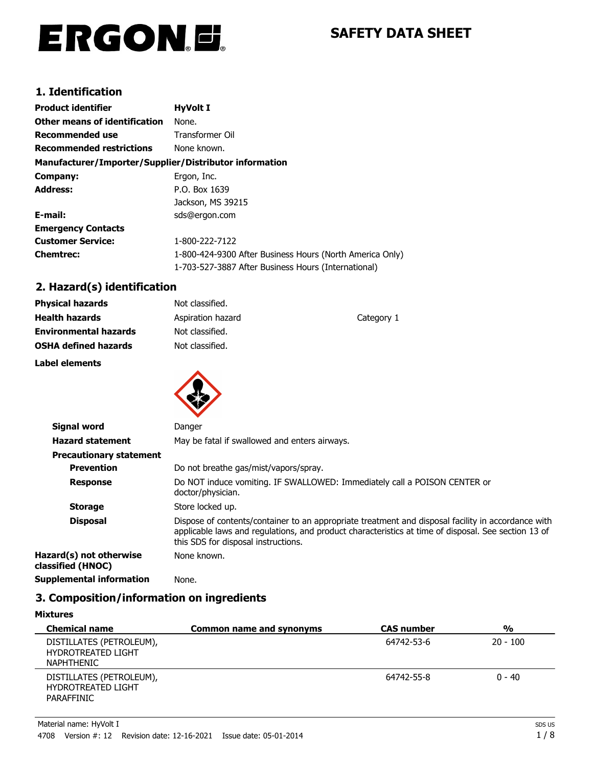# ERGON.E.

# **SAFETY DATA SHEET**

# **1. Identification**

| <b>Product identifier</b>                              | <b>HyVolt I</b>                                          |
|--------------------------------------------------------|----------------------------------------------------------|
| <b>Other means of identification</b>                   | None.                                                    |
| Recommended use                                        | Transformer Oil                                          |
| <b>Recommended restrictions</b>                        | None known.                                              |
| Manufacturer/Importer/Supplier/Distributor information |                                                          |
| Company:                                               | Ergon, Inc.                                              |
| <b>Address:</b>                                        | P.O. Box 1639                                            |
|                                                        | Jackson, MS 39215                                        |
| E-mail:                                                | sds@ergon.com                                            |
| <b>Emergency Contacts</b>                              |                                                          |
| <b>Customer Service:</b>                               | 1-800-222-7122                                           |
| <b>Chemtrec:</b>                                       | 1-800-424-9300 After Business Hours (North America Only) |
|                                                        | 1-703-527-3887 After Business Hours (International)      |

# **2. Hazard(s) identification**

| <b>Physical hazards</b>      | Not classified.   |            |
|------------------------------|-------------------|------------|
| <b>Health hazards</b>        | Aspiration hazard | Category 1 |
| <b>Environmental hazards</b> | Not classified.   |            |
| <b>OSHA defined hazards</b>  | Not classified.   |            |
| Label elements               |                   |            |
|                              |                   |            |



| Signal word                                  | Danger                                                                                                                                                                                                                                           |
|----------------------------------------------|--------------------------------------------------------------------------------------------------------------------------------------------------------------------------------------------------------------------------------------------------|
| <b>Hazard statement</b>                      | May be fatal if swallowed and enters airways.                                                                                                                                                                                                    |
| <b>Precautionary statement</b>               |                                                                                                                                                                                                                                                  |
| <b>Prevention</b>                            | Do not breathe gas/mist/vapors/spray.                                                                                                                                                                                                            |
| <b>Response</b>                              | Do NOT induce vomiting. IF SWALLOWED: Immediately call a POISON CENTER or<br>doctor/physician.                                                                                                                                                   |
| <b>Storage</b>                               | Store locked up.                                                                                                                                                                                                                                 |
| <b>Disposal</b>                              | Dispose of contents/container to an appropriate treatment and disposal facility in accordance with<br>applicable laws and regulations, and product characteristics at time of disposal. See section 13 of<br>this SDS for disposal instructions. |
| Hazard(s) not otherwise<br>classified (HNOC) | None known.                                                                                                                                                                                                                                      |
| <b>Supplemental information</b>              | None.                                                                                                                                                                                                                                            |

# **3. Composition/information on ingredients**

#### **Mixtures**

| <b>Chemical name</b>                                                       | <b>Common name and synonyms</b> | <b>CAS number</b> | $\frac{0}{0}$ |
|----------------------------------------------------------------------------|---------------------------------|-------------------|---------------|
| DISTILLATES (PETROLEUM),<br><b>HYDROTREATED LIGHT</b><br><b>NAPHTHENIC</b> |                                 | 64742-53-6        | $20 - 100$    |
| DISTILLATES (PETROLEUM),<br><b>HYDROTREATED LIGHT</b><br>PARAFFINIC        |                                 | 64742-55-8        | $0 - 40$      |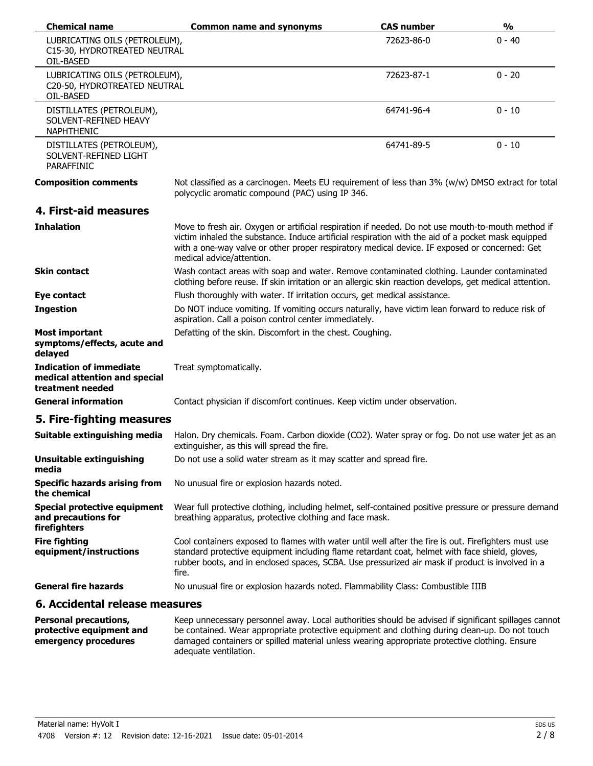| <b>Chemical name</b>                                                         | <b>Common name and synonyms</b>                                                                                                                                                                                                                                                                                                        | <b>CAS number</b> | $\frac{0}{0}$ |
|------------------------------------------------------------------------------|----------------------------------------------------------------------------------------------------------------------------------------------------------------------------------------------------------------------------------------------------------------------------------------------------------------------------------------|-------------------|---------------|
| LUBRICATING OILS (PETROLEUM),<br>C15-30, HYDROTREATED NEUTRAL<br>OIL-BASED   |                                                                                                                                                                                                                                                                                                                                        | 72623-86-0        | $0 - 40$      |
| LUBRICATING OILS (PETROLEUM),<br>C20-50, HYDROTREATED NEUTRAL<br>OIL-BASED   |                                                                                                                                                                                                                                                                                                                                        | 72623-87-1        | $0 - 20$      |
| DISTILLATES (PETROLEUM),<br>SOLVENT-REFINED HEAVY<br>NAPHTHENIC              |                                                                                                                                                                                                                                                                                                                                        | 64741-96-4        | $0 - 10$      |
| DISTILLATES (PETROLEUM),<br>SOLVENT-REFINED LIGHT<br><b>PARAFFINIC</b>       |                                                                                                                                                                                                                                                                                                                                        | 64741-89-5        | $0 - 10$      |
| <b>Composition comments</b>                                                  | Not classified as a carcinogen. Meets EU requirement of less than 3% (w/w) DMSO extract for total<br>polycyclic aromatic compound (PAC) using IP 346.                                                                                                                                                                                  |                   |               |
| 4. First-aid measures                                                        |                                                                                                                                                                                                                                                                                                                                        |                   |               |
| <b>Inhalation</b>                                                            | Move to fresh air. Oxygen or artificial respiration if needed. Do not use mouth-to-mouth method if<br>victim inhaled the substance. Induce artificial respiration with the aid of a pocket mask equipped<br>with a one-way valve or other proper respiratory medical device. IF exposed or concerned: Get<br>medical advice/attention. |                   |               |
| <b>Skin contact</b>                                                          | Wash contact areas with soap and water. Remove contaminated clothing. Launder contaminated<br>clothing before reuse. If skin irritation or an allergic skin reaction develops, get medical attention.                                                                                                                                  |                   |               |
| Eye contact                                                                  | Flush thoroughly with water. If irritation occurs, get medical assistance.                                                                                                                                                                                                                                                             |                   |               |
| <b>Ingestion</b>                                                             | Do NOT induce vomiting. If vomiting occurs naturally, have victim lean forward to reduce risk of<br>aspiration. Call a poison control center immediately.                                                                                                                                                                              |                   |               |
| <b>Most important</b><br>symptoms/effects, acute and<br>delayed              | Defatting of the skin. Discomfort in the chest. Coughing.                                                                                                                                                                                                                                                                              |                   |               |
| Indication of immediate<br>medical attention and special<br>treatment needed | Treat symptomatically.                                                                                                                                                                                                                                                                                                                 |                   |               |
| <b>General information</b>                                                   | Contact physician if discomfort continues. Keep victim under observation.                                                                                                                                                                                                                                                              |                   |               |
| 5. Fire-fighting measures                                                    |                                                                                                                                                                                                                                                                                                                                        |                   |               |
| Suitable extinguishing media                                                 | Halon. Dry chemicals. Foam. Carbon dioxide (CO2). Water spray or fog. Do not use water jet as an<br>extinguisher, as this will spread the fire.                                                                                                                                                                                        |                   |               |
| <b>Unsuitable extinguishing</b><br>media                                     | Do not use a solid water stream as it may scatter and spread fire.                                                                                                                                                                                                                                                                     |                   |               |
| <b>Specific hazards arising from</b><br>the chemical                         | No unusual fire or explosion hazards noted.                                                                                                                                                                                                                                                                                            |                   |               |
| <b>Special protective equipment</b><br>and precautions for<br>firefighters   | Wear full protective clothing, including helmet, self-contained positive pressure or pressure demand<br>breathing apparatus, protective clothing and face mask.                                                                                                                                                                        |                   |               |
| <b>Fire fighting</b><br>equipment/instructions                               | Cool containers exposed to flames with water until well after the fire is out. Firefighters must use<br>standard protective equipment including flame retardant coat, helmet with face shield, gloves,<br>rubber boots, and in enclosed spaces, SCBA. Use pressurized air mask if product is involved in a<br>fire.                    |                   |               |
| <b>General fire hazards</b>                                                  | No unusual fire or explosion hazards noted. Flammability Class: Combustible IIIB                                                                                                                                                                                                                                                       |                   |               |
| 6. Accidental release measures                                               |                                                                                                                                                                                                                                                                                                                                        |                   |               |

| <b>Personal precautions,</b> | Keep unnecessary personnel away. Local authorities should be advised if significant spillages cannot |
|------------------------------|------------------------------------------------------------------------------------------------------|
| protective equipment and     | be contained. Wear appropriate protective equipment and clothing during clean-up. Do not touch       |
| emergency procedures         | damaged containers or spilled material unless wearing appropriate protective clothing. Ensure        |
|                              | adequate ventilation.                                                                                |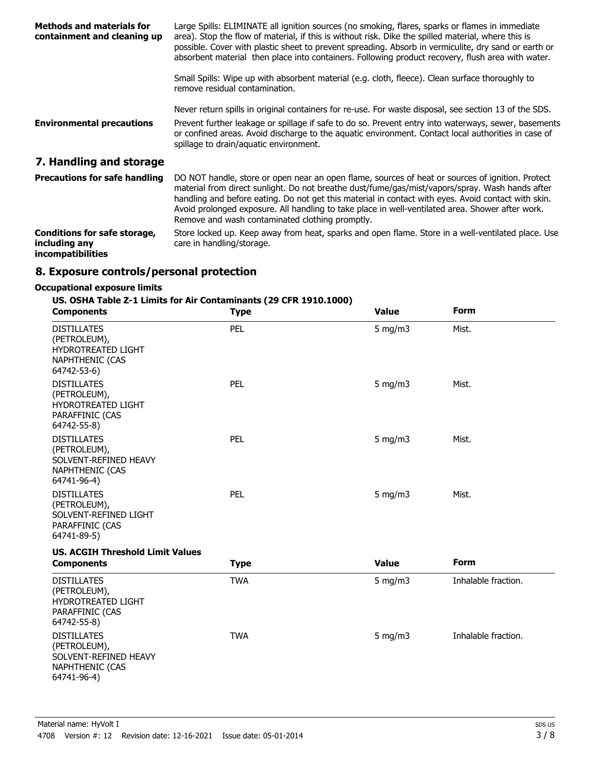| <b>Methods and materials for</b><br>containment and cleaning up                  | Large Spills: ELIMINATE all ignition sources (no smoking, flares, sparks or flames in immediate<br>area). Stop the flow of material, if this is without risk. Dike the spilled material, where this is<br>possible. Cover with plastic sheet to prevent spreading. Absorb in vermiculite, dry sand or earth or<br>absorbent material then place into containers. Following product recovery, flush area with water.                                               |
|----------------------------------------------------------------------------------|-------------------------------------------------------------------------------------------------------------------------------------------------------------------------------------------------------------------------------------------------------------------------------------------------------------------------------------------------------------------------------------------------------------------------------------------------------------------|
|                                                                                  | Small Spills: Wipe up with absorbent material (e.g. cloth, fleece). Clean surface thoroughly to<br>remove residual contamination.                                                                                                                                                                                                                                                                                                                                 |
| <b>Environmental precautions</b>                                                 | Never return spills in original containers for re-use. For waste disposal, see section 13 of the SDS.<br>Prevent further leakage or spillage if safe to do so. Prevent entry into waterways, sewer, basements<br>or confined areas. Avoid discharge to the aquatic environment. Contact local authorities in case of<br>spillage to drain/aquatic environment.                                                                                                    |
| 7. Handling and storage                                                          |                                                                                                                                                                                                                                                                                                                                                                                                                                                                   |
| <b>Precautions for safe handling</b>                                             | DO NOT handle, store or open near an open flame, sources of heat or sources of ignition. Protect<br>material from direct sunlight. Do not breathe dust/fume/gas/mist/vapors/spray. Wash hands after<br>handling and before eating. Do not get this material in contact with eyes. Avoid contact with skin.<br>Avoid prolonged exposure. All handling to take place in well-ventilated area. Shower after work.<br>Remove and wash contaminated clothing promptly. |
| <b>Conditions for safe storage,</b><br>including any<br><i>incompatibilities</i> | Store locked up. Keep away from heat, sparks and open flame. Store in a well-ventilated place. Use<br>care in handling/storage.                                                                                                                                                                                                                                                                                                                                   |

# **8. Exposure controls/personal protection**

#### **Occupational exposure limits**

# **US. OSHA Table Z-1 Limits for Air Contaminants (29 CFR 1910.1000)**

| <b>Components</b>                                                                                    | <b>Type</b> | <b>Value</b> | Form                |
|------------------------------------------------------------------------------------------------------|-------------|--------------|---------------------|
| <b>DISTILLATES</b><br>(PETROLEUM),<br><b>HYDROTREATED LIGHT</b><br>NAPHTHENIC (CAS<br>64742-53-6)    | PEL         | $5$ mg/m $3$ | Mist.               |
| <b>DISTILLATES</b><br>(PETROLEUM),<br>HYDROTREATED LIGHT<br>PARAFFINIC (CAS<br>64742-55-8)           | PEL         | 5 mg/m $3$   | Mist.               |
| <b>DISTILLATES</b><br>(PETROLEUM),<br>SOLVENT-REFINED HEAVY<br><b>NAPHTHENIC (CAS</b><br>64741-96-4) | PEL         | $5$ mg/m $3$ | Mist.               |
| <b>DISTILLATES</b><br>(PETROLEUM),<br>SOLVENT-REFINED LIGHT<br>PARAFFINIC (CAS<br>64741-89-5)        | PEL         | $5$ mg/m $3$ | Mist.               |
| <b>US. ACGIH Threshold Limit Values</b><br><b>Components</b>                                         | <b>Type</b> | <b>Value</b> | <b>Form</b>         |
| <b>DISTILLATES</b><br>(PETROLEUM),<br>HYDROTREATED LIGHT<br>PARAFFINIC (CAS<br>64742-55-8)           | <b>TWA</b>  | $5$ mg/m $3$ | Inhalable fraction. |
| <b>DISTILLATES</b><br>(PETROLEUM),<br>SOLVENT-REFINED HEAVY<br><b>NAPHTHENIC (CAS</b><br>64741-96-4) | <b>TWA</b>  | 5 mg/m $3$   | Inhalable fraction. |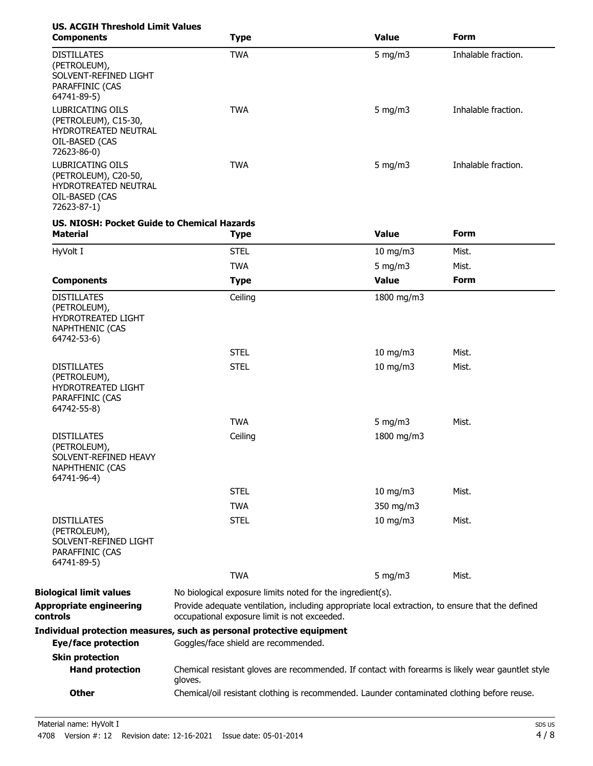| <b>US. ACGIH Threshold Limit Values</b><br><b>Components</b>                                             | <b>Type</b>                                                                                                                                      | <b>Value</b>      | Form                |
|----------------------------------------------------------------------------------------------------------|--------------------------------------------------------------------------------------------------------------------------------------------------|-------------------|---------------------|
| <b>DISTILLATES</b><br>(PETROLEUM),<br>SOLVENT-REFINED LIGHT<br>PARAFFINIC (CAS<br>64741-89-5)            | <b>TWA</b>                                                                                                                                       | 5 mg/m $3$        | Inhalable fraction. |
| LUBRICATING OILS<br>(PETROLEUM), C15-30,<br>HYDROTREATED NEUTRAL<br>OIL-BASED (CAS<br>72623-86-0)        | <b>TWA</b>                                                                                                                                       | 5 mg/m $3$        | Inhalable fraction. |
| <b>LUBRICATING OILS</b><br>(PETROLEUM), C20-50,<br>HYDROTREATED NEUTRAL<br>OIL-BASED (CAS<br>72623-87-1) | <b>TWA</b>                                                                                                                                       | 5 mg/m $3$        | Inhalable fraction. |
| <b>US. NIOSH: Pocket Guide to Chemical Hazards</b><br><b>Material</b>                                    | <b>Type</b>                                                                                                                                      | <b>Value</b>      | <b>Form</b>         |
| HyVolt I                                                                                                 | <b>STEL</b>                                                                                                                                      | 10 mg/m3          | Mist.               |
|                                                                                                          | <b>TWA</b>                                                                                                                                       | 5 mg/m $3$        | Mist.               |
| <b>Components</b>                                                                                        | <b>Type</b>                                                                                                                                      | <b>Value</b>      | Form                |
| <b>DISTILLATES</b><br>(PETROLEUM),<br>HYDROTREATED LIGHT<br><b>NAPHTHENIC (CAS</b><br>64742-53-6)        | Ceiling                                                                                                                                          | 1800 mg/m3        |                     |
|                                                                                                          | <b>STEL</b>                                                                                                                                      | $10$ mg/m $3$     | Mist.               |
| <b>DISTILLATES</b><br>(PETROLEUM),<br>HYDROTREATED LIGHT<br>PARAFFINIC (CAS<br>64742-55-8)               | <b>STEL</b>                                                                                                                                      | 10 mg/m3          | Mist.               |
|                                                                                                          | <b>TWA</b>                                                                                                                                       | 5 mg/m $3$        | Mist.               |
| <b>DISTILLATES</b><br>(PETROLEUM),<br>SOLVENT-REFINED HEAVY<br><b>NAPHTHENIC (CAS</b><br>64741-96-4)     | Ceiling                                                                                                                                          | 1800 mg/m3        |                     |
|                                                                                                          | <b>STEL</b>                                                                                                                                      | 10 mg/m3          | Mist.               |
|                                                                                                          | <b>TWA</b>                                                                                                                                       | 350 mg/m3         |                     |
| <b>DISTILLATES</b><br>(PETROLEUM),<br>SOLVENT-REFINED LIGHT<br>PARAFFINIC (CAS<br>64741-89-5)            | <b>STEL</b>                                                                                                                                      | $10 \text{ mg/m}$ | Mist.               |
|                                                                                                          | <b>TWA</b>                                                                                                                                       | 5 mg/m $3$        | Mist.               |
| <b>Biological limit values</b>                                                                           | No biological exposure limits noted for the ingredient(s).                                                                                       |                   |                     |
| Appropriate engineering<br>controls                                                                      | Provide adequate ventilation, including appropriate local extraction, to ensure that the defined<br>occupational exposure limit is not exceeded. |                   |                     |
|                                                                                                          | Individual protection measures, such as personal protective equipment                                                                            |                   |                     |
| Eye/face protection                                                                                      | Goggles/face shield are recommended.                                                                                                             |                   |                     |
| <b>Skin protection</b><br><b>Hand protection</b>                                                         | Chemical resistant gloves are recommended. If contact with forearms is likely wear gauntlet style<br>gloves.                                     |                   |                     |
| <b>Other</b>                                                                                             | Chemical/oil resistant clothing is recommended. Launder contaminated clothing before reuse.                                                      |                   |                     |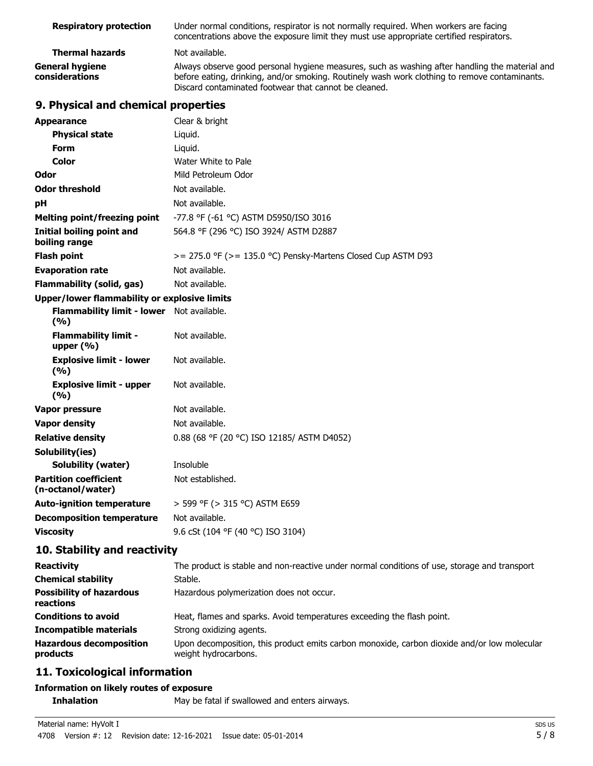| <b>Respiratory protection</b>            | Under normal conditions, respirator is not normally required. When workers are facing<br>concentrations above the exposure limit they must use appropriate certified respirators.                                                                        |
|------------------------------------------|----------------------------------------------------------------------------------------------------------------------------------------------------------------------------------------------------------------------------------------------------------|
| <b>Thermal hazards</b>                   | Not available.                                                                                                                                                                                                                                           |
| <b>General hygiene</b><br>considerations | Always observe good personal hygiene measures, such as washing after handling the material and<br>before eating, drinking, and/or smoking. Routinely wash work clothing to remove contaminants.<br>Discard contaminated footwear that cannot be cleaned. |

# **9. Physical and chemical properties**

| <b>Appearance</b>                                   | Clear & bright                                                                                                      |
|-----------------------------------------------------|---------------------------------------------------------------------------------------------------------------------|
| <b>Physical state</b>                               | Liquid.                                                                                                             |
| <b>Form</b>                                         | Liquid.                                                                                                             |
| <b>Color</b>                                        | Water White to Pale                                                                                                 |
| Odor                                                | Mild Petroleum Odor                                                                                                 |
| <b>Odor threshold</b>                               | Not available.                                                                                                      |
| pH                                                  | Not available.                                                                                                      |
| <b>Melting point/freezing point</b>                 | -77.8 °F (-61 °C) ASTM D5950/ISO 3016                                                                               |
| Initial boiling point and<br>boiling range          | 564.8 °F (296 °C) ISO 3924/ ASTM D2887                                                                              |
| <b>Flash point</b>                                  | $>= 275.0$ °F ( $>= 135.0$ °C) Pensky-Martens Closed Cup ASTM D93                                                   |
| <b>Evaporation rate</b>                             | Not available.                                                                                                      |
| <b>Flammability (solid, gas)</b>                    | Not available.                                                                                                      |
| <b>Upper/lower flammability or explosive limits</b> |                                                                                                                     |
| Flammability limit - lower Not available.<br>(%)    |                                                                                                                     |
| <b>Flammability limit -</b><br>upper $(\% )$        | Not available.                                                                                                      |
| <b>Explosive limit - lower</b><br>(%)               | Not available.                                                                                                      |
| <b>Explosive limit - upper</b><br>(%)               | Not available.                                                                                                      |
| Vapor pressure                                      | Not available.                                                                                                      |
| <b>Vapor density</b>                                | Not available.                                                                                                      |
| <b>Relative density</b>                             | 0.88 (68 °F (20 °C) ISO 12185/ ASTM D4052)                                                                          |
| Solubility(ies)                                     |                                                                                                                     |
| <b>Solubility (water)</b>                           | Insoluble                                                                                                           |
| <b>Partition coefficient</b><br>(n-octanol/water)   | Not established.                                                                                                    |
| <b>Auto-ignition temperature</b>                    | > 599 °F (> 315 °C) ASTM E659                                                                                       |
| <b>Decomposition temperature</b>                    | Not available.                                                                                                      |
| <b>Viscosity</b>                                    | 9.6 cSt (104 °F (40 °C) ISO 3104)                                                                                   |
| 10. Stability and reactivity                        |                                                                                                                     |
| <b>Reactivity</b>                                   | The product is stable and non-reactive under normal conditions of use, storage and transport                        |
| <b>Chemical stability</b>                           | Stable.                                                                                                             |
| <b>Possibility of hazardous</b><br>reactions        | Hazardous polymerization does not occur.                                                                            |
| <b>Conditions to avoid</b>                          | Heat, flames and sparks. Avoid temperatures exceeding the flash point.                                              |
| <b>Incompatible materials</b>                       | Strong oxidizing agents.                                                                                            |
| <b>Hazardous decomposition</b><br>products          | Upon decomposition, this product emits carbon monoxide, carbon dioxide and/or low molecular<br>weight hydrocarbons. |
| .:                                                  |                                                                                                                     |

## **11. Toxicological information**

#### **Information on likely routes of exposure**

**Inhalation** May be fatal if swallowed and enters airways.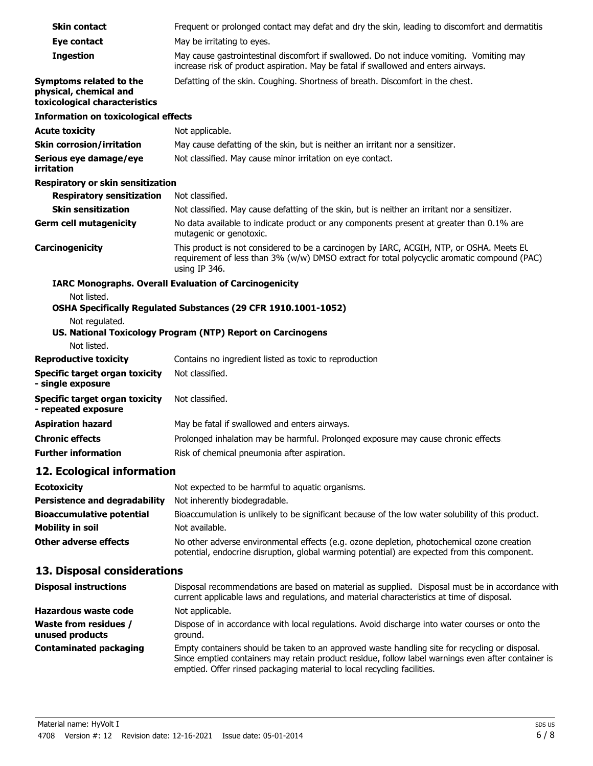| <b>Skin contact</b>                                                                | Frequent or prolonged contact may defat and dry the skin, leading to discomfort and dermatitis                                                                                                           |
|------------------------------------------------------------------------------------|----------------------------------------------------------------------------------------------------------------------------------------------------------------------------------------------------------|
| Eye contact                                                                        | May be irritating to eyes.                                                                                                                                                                               |
| <b>Ingestion</b>                                                                   | May cause gastrointestinal discomfort if swallowed. Do not induce vomiting. Vomiting may<br>increase risk of product aspiration. May be fatal if swallowed and enters airways.                           |
| Symptoms related to the<br>physical, chemical and<br>toxicological characteristics | Defatting of the skin. Coughing. Shortness of breath. Discomfort in the chest.                                                                                                                           |
| <b>Information on toxicological effects</b>                                        |                                                                                                                                                                                                          |
| <b>Acute toxicity</b>                                                              | Not applicable.                                                                                                                                                                                          |
| <b>Skin corrosion/irritation</b>                                                   | May cause defatting of the skin, but is neither an irritant nor a sensitizer.                                                                                                                            |
| Serious eye damage/eye<br>irritation                                               | Not classified. May cause minor irritation on eye contact.                                                                                                                                               |
| Respiratory or skin sensitization                                                  |                                                                                                                                                                                                          |
| <b>Respiratory sensitization</b>                                                   | Not classified.                                                                                                                                                                                          |
| <b>Skin sensitization</b>                                                          | Not classified. May cause defatting of the skin, but is neither an irritant nor a sensitizer.                                                                                                            |
| <b>Germ cell mutagenicity</b>                                                      | No data available to indicate product or any components present at greater than 0.1% are<br>mutagenic or genotoxic.                                                                                      |
| Carcinogenicity                                                                    | This product is not considered to be a carcinogen by IARC, ACGIH, NTP, or OSHA. Meets EL<br>requirement of less than 3% (w/w) DMSO extract for total polycyclic aromatic compound (PAC)<br>using IP 346. |
| Not listed.                                                                        | <b>IARC Monographs. Overall Evaluation of Carcinogenicity</b>                                                                                                                                            |
| Not regulated.<br>Not listed.                                                      | OSHA Specifically Regulated Substances (29 CFR 1910.1001-1052)<br>US. National Toxicology Program (NTP) Report on Carcinogens                                                                            |
| <b>Reproductive toxicity</b>                                                       | Contains no ingredient listed as toxic to reproduction                                                                                                                                                   |
| <b>Specific target organ toxicity</b><br>- single exposure                         | Not classified.                                                                                                                                                                                          |
| <b>Specific target organ toxicity</b><br>- repeated exposure                       | Not classified.                                                                                                                                                                                          |
| <b>Aspiration hazard</b>                                                           | May be fatal if swallowed and enters airways.                                                                                                                                                            |
| <b>Chronic effects</b>                                                             | Prolonged inhalation may be harmful. Prolonged exposure may cause chronic effects                                                                                                                        |
| <b>Further information</b>                                                         | Risk of chemical pneumonia after aspiration.                                                                                                                                                             |
| 12. Ecological information                                                         |                                                                                                                                                                                                          |
| <b>Ecotoxicity</b>                                                                 | Not expected to be harmful to aquatic organisms.                                                                                                                                                         |
| <b>Persistence and degradability</b>                                               | Not inherently biodegradable.                                                                                                                                                                            |
| <b>Bioaccumulative potential</b>                                                   | Bioaccumulation is unlikely to be significant because of the low water solubility of this product.                                                                                                       |
| <b>Mobility in soil</b>                                                            | Not available.                                                                                                                                                                                           |
| <b>Other adverse effects</b>                                                       | No other adverse environmental effects (e.g. ozone depletion, photochemical ozone creation<br>potential, endocrine disruption, global warming potential) are expected from this component.               |

| <b>Disposal instructions</b>                    | Disposal recommendations are based on material as supplied. Disposal must be in accordance with<br>current applicable laws and regulations, and material characteristics at time of disposal.                                                                                   |
|-------------------------------------------------|---------------------------------------------------------------------------------------------------------------------------------------------------------------------------------------------------------------------------------------------------------------------------------|
| Hazardous waste code                            | Not applicable.                                                                                                                                                                                                                                                                 |
| <b>Waste from residues /</b><br>unused products | Dispose of in accordance with local regulations. Avoid discharge into water courses or onto the<br>ground.                                                                                                                                                                      |
| <b>Contaminated packaging</b>                   | Empty containers should be taken to an approved waste handling site for recycling or disposal.<br>Since emptied containers may retain product residue, follow label warnings even after container is<br>emptied. Offer rinsed packaging material to local recycling facilities. |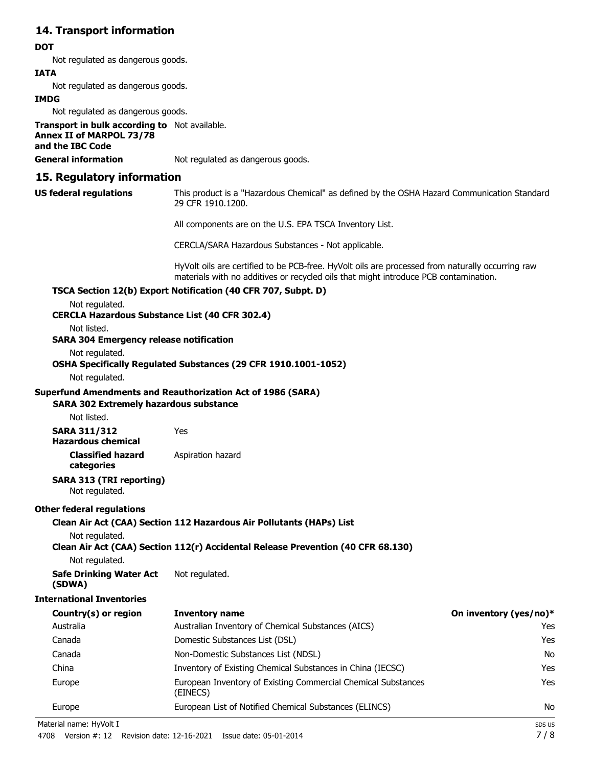## **14. Transport information**

#### **DOT**

Not regulated as dangerous goods.

#### **IATA**

Not regulated as dangerous goods.

#### **IMDG**

Not regulated as dangerous goods.

**Transport in bulk according to** Not available. **Annex II of MARPOL 73/78 and the IBC Code General information** Not regulated as dangerous goods.

#### **15. Regulatory information**

**US federal regulations**

This product is a "Hazardous Chemical" as defined by the OSHA Hazard Communication Standard, 29 CFR 1910.1200.

All components are on the U.S. EPA TSCA Inventory List.

CERCLA/SARA Hazardous Substances - Not applicable.

HyVolt oils are certified to be PCB-free. HyVolt oils are processed from naturally occurring raw materials with no additives or recycled oils that might introduce PCB contamination.

#### **TSCA Section 12(b) Export Notification (40 CFR 707, Subpt. D)**

Not regulated.

**CERCLA Hazardous Substance List (40 CFR 302.4)**

Not listed.

#### **SARA 304 Emergency release notification**

Not regulated.

#### **OSHA Specifically Regulated Substances (29 CFR 1910.1001-1052)**

Not regulated.

#### **Superfund Amendments and Reauthorization Act of 1986 (SARA)**

#### **SARA 302 Extremely hazardous substance**

Not listed.

**SARA 311/312** Yes **Hazardous chemical**

> **Classified hazard** Aspiration hazard **categories**

#### **SARA 313 (TRI reporting)** Not regulated.

#### **Other federal regulations**

**Clean Air Act (CAA) Section 112 Hazardous Air Pollutants (HAPs) List**

Not regulated.

#### **Clean Air Act (CAA) Section 112(r) Accidental Release Prevention (40 CFR 68.130)**

Not regulated.

**Safe Drinking Water Act** Not regulated. **(SDWA)**

#### **International Inventories**

| Country(s) or region | <b>Inventory name</b>                                                     | On inventory (yes/no)* |
|----------------------|---------------------------------------------------------------------------|------------------------|
| Australia            | Australian Inventory of Chemical Substances (AICS)                        | Yes                    |
| Canada               | Domestic Substances List (DSL)                                            | Yes                    |
| Canada               | Non-Domestic Substances List (NDSL)                                       | No                     |
| China                | Inventory of Existing Chemical Substances in China (IECSC)                | Yes                    |
| Europe               | European Inventory of Existing Commercial Chemical Substances<br>(EINECS) | Yes                    |
| Europe               | European List of Notified Chemical Substances (ELINCS)                    | No                     |